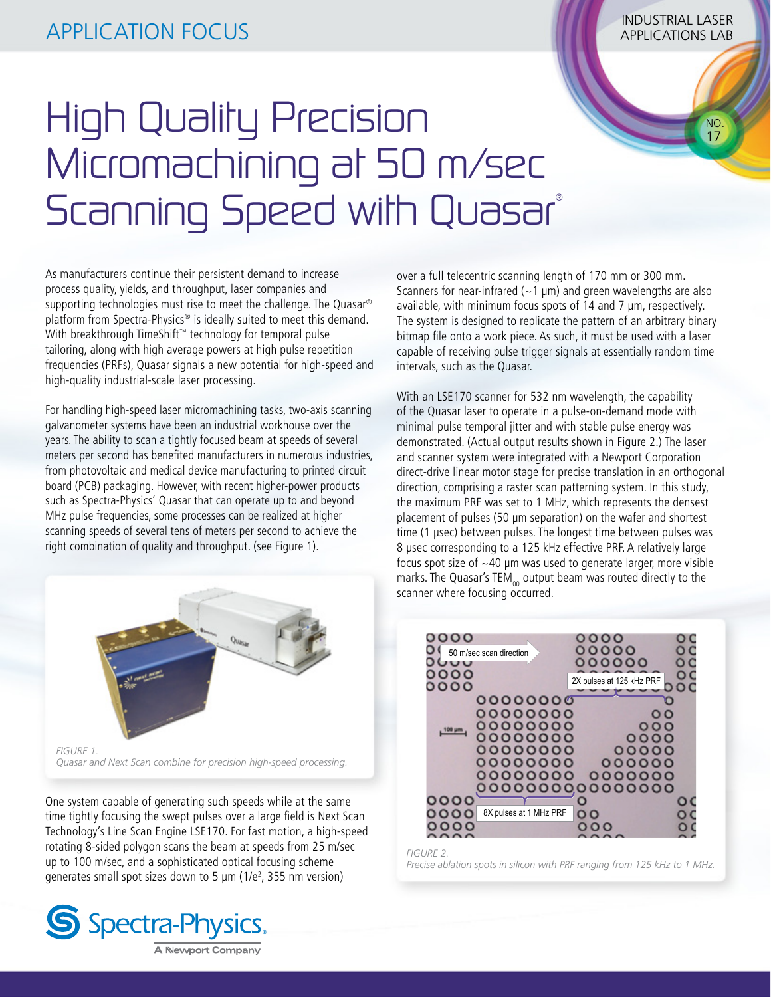NO. 17

## High Quality Precision Micromachining at 50 m/sec Scanning Speed with Quasar®

As manufacturers continue their persistent demand to increase process quality, yields, and throughput, laser companies and supporting technologies must rise to meet the challenge. The Quasar® platform from Spectra-Physics® is ideally suited to meet this demand. With breakthrough TimeShift™ technology for temporal pulse tailoring, along with high average powers at high pulse repetition frequencies (PRFs), Quasar signals a new potential for high-speed and high-quality industrial-scale laser processing.

For handling high-speed laser micromachining tasks, two-axis scanning galvanometer systems have been an industrial workhouse over the years. The ability to scan a tightly focused beam at speeds of several meters per second has benefited manufacturers in numerous industries, from photovoltaic and medical device manufacturing to printed circuit board (PCB) packaging. However, with recent higher-power products such as Spectra-Physics' Quasar that can operate up to and beyond MHz pulse frequencies, some processes can be realized at higher scanning speeds of several tens of meters per second to achieve the right combination of quality and throughput. (see Figure 1).



*Quasar and Next Scan combine for precision high-speed processing.*

One system capable of generating such speeds while at the same time tightly focusing the swept pulses over a large field is Next Scan Technology's Line Scan Engine LSE170. For fast motion, a high-speed rotating 8-sided polygon scans the beam at speeds from 25 m/sec up to 100 m/sec, and a sophisticated optical focusing scheme generates small spot sizes down to 5  $\mu$ m (1/e<sup>2</sup>, 355 nm version)



over a full telecentric scanning length of 170 mm or 300 mm. Scanners for near-infrared ( $\sim$ 1  $\mu$ m) and green wavelengths are also available, with minimum focus spots of 14 and 7 μm, respectively. The system is designed to replicate the pattern of an arbitrary binary bitmap file onto a work piece. As such, it must be used with a laser capable of receiving pulse trigger signals at essentially random time intervals, such as the Quasar.

With an LSE170 scanner for 532 nm wavelength, the capability of the Quasar laser to operate in a pulse-on-demand mode with minimal pulse temporal jitter and with stable pulse energy was demonstrated. (Actual output results shown in Figure 2.) The laser and scanner system were integrated with a Newport Corporation direct-drive linear motor stage for precise translation in an orthogonal direction, comprising a raster scan patterning system. In this study, the maximum PRF was set to 1 MHz, which represents the densest placement of pulses (50 μm separation) on the wafer and shortest time (1 μsec) between pulses. The longest time between pulses was 8 μsec corresponding to a 125 kHz effective PRF. A relatively large focus spot size of  $\sim$  40 µm was used to generate larger, more visible marks. The Quasar's TEM<sub>00</sub> output beam was routed directly to the scanner where focusing occurred.